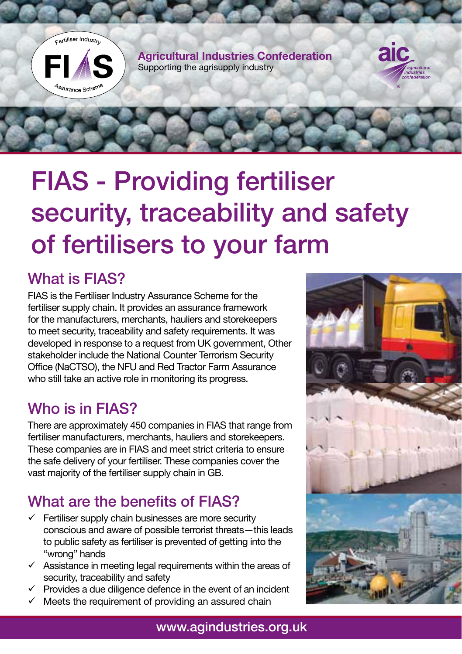

# FIAS - Providing fertiliser security, traceability and safety of fertilisers to your farm

#### What is FIAS?

FIAS is the Fertiliser Industry Assurance Scheme for the fertiliser supply chain. It provides an assurance framework for the manufacturers, merchants, hauliers and storekeepers to meet security, traceability and safety requirements. It was developed in response to a request from UK government, Other stakeholder include the National Counter Terrorism Security Office (NaCTSO), the NFU and Red Tractor Farm Assurance who still take an active role in monitoring its progress.

#### Who is in FIAS?

There are approximately 450 companies in FIAS that range from fertiliser manufacturers, merchants, hauliers and storekeepers. These companies are in FIAS and meet strict criteria to ensure the safe delivery of your fertiliser. These companies cover the vast majority of the fertiliser supply chain in GB.

# What are the benefits of FIAS?

- $\checkmark$  Fertiliser supply chain businesses are more security conscious and aware of possible terrorist threats—this leads to public safety as fertiliser is prevented of getting into the "wrong" hands
- $\checkmark$  Assistance in meeting legal requirements within the areas of security, traceability and safety
- $\checkmark$  Provides a due diligence defence in the event of an incident
- $\checkmark$  Meets the requirement of providing an assured chain